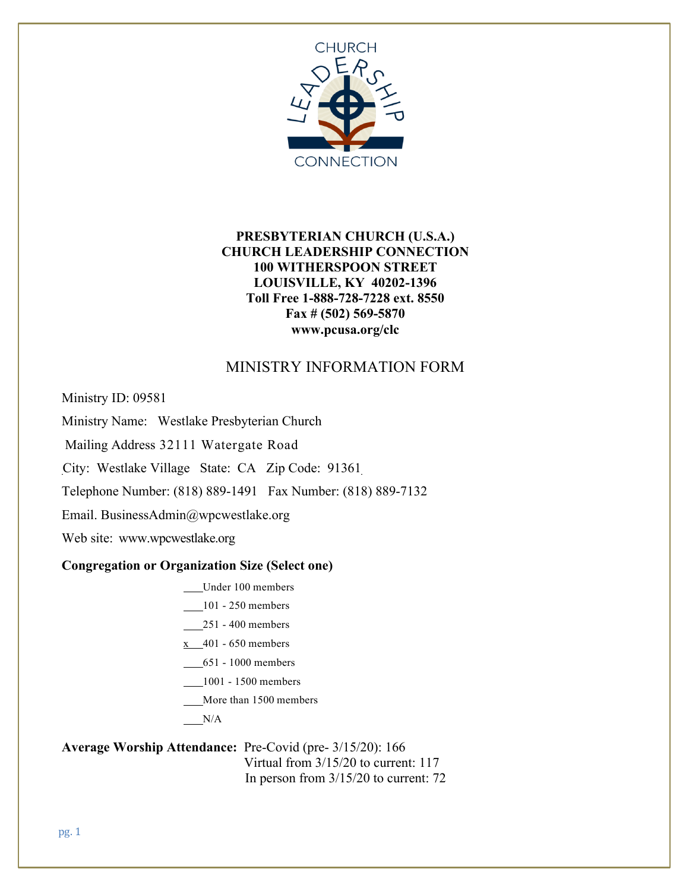

# **PRESBYTERIAN CHURCH (U.S.A.) CHURCH LEADERSHIP CONNECTION 100 WITHERSPOON STREET LOUISVILLE, KY 40202-1396 Toll Free 1-888-728-7228 ext. 8550 Fax # (502) 569-5870 www.pcusa.org/clc**

# MINISTRY INFORMATION FORM

Ministry ID: 09581

Ministry Name: Westlake Presbyterian Church

Mailing Address 32111 Watergate Road

City: Westlake Village State: CA Zip Code: 91361

Telephone Number: (818) 889-1491 Fax Number: (818) 889-7132

Email. BusinessAdmin@wpcwestlake.org

Web site: www.wpcwestlake.org

#### **Congregation or Organization Size (Select one)**

- Under 100 members
- 101 250 members
- 251 400 members
- $x = 401 650$  members
- 651 1000 members
- 1001 1500 members
- More than 1500 members

 $N/A$ 

#### **Average Worship Attendance:** Pre-Covid (pre- 3/15/20): 166 Virtual from 3/15/20 to current: 117

In person from 3/15/20 to current: 72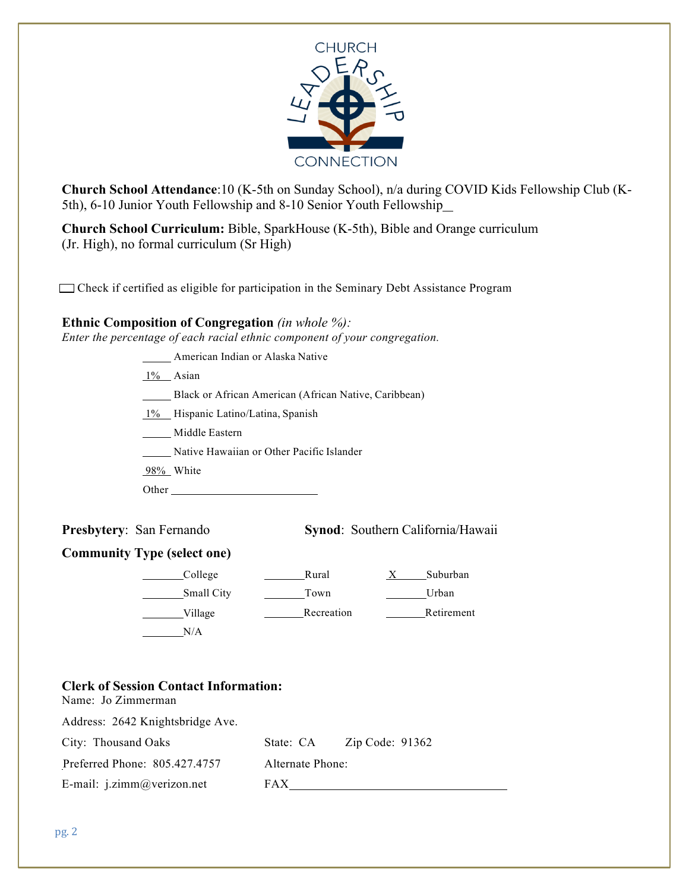

**Church School Attendance**:10 (K-5th on Sunday School), n/a during COVID Kids Fellowship Club (K-5th), 6-10 Junior Youth Fellowship and 8-10 Senior Youth Fellowship

**Church School Curriculum:** Bible, SparkHouse (K-5th), Bible and Orange curriculum (Jr. High), no formal curriculum (Sr High)

Check if certified as eligible for participation in the Seminary Debt Assistance Program

#### **Ethnic Composition of Congregation** *(in whole %):*

*Enter the percentage of each racial ethnic component of your congregation.*

**Mullet** American Indian or Alaska Native

 $1\%$  Asian

Black or African American (African Native, Caribbean)

1% Hispanic Latino/Latina, Spanish

Middle Eastern

Native Hawaiian or Other Pacific Islander

98% White

Other

Name: Jo Zimmerman

**Presbytery:** San Fernando **Synod:** Southern California/Hawaii

#### **Community Type (select one)**

| College    | Rural      | Suburban   |
|------------|------------|------------|
| Small City | Town       | Urban      |
| Village    | Recreation | Retirement |
| N/A        |            |            |

#### **Clerk of Session Contact Information:**

Address: 2642 Knightsbridge Ave. City: Thousand Oaks State: CA Zip Code: 91362 Preferred Phone: 805.427.4757 Alternate Phone: E-mail: j.zimm@verizon.net FAX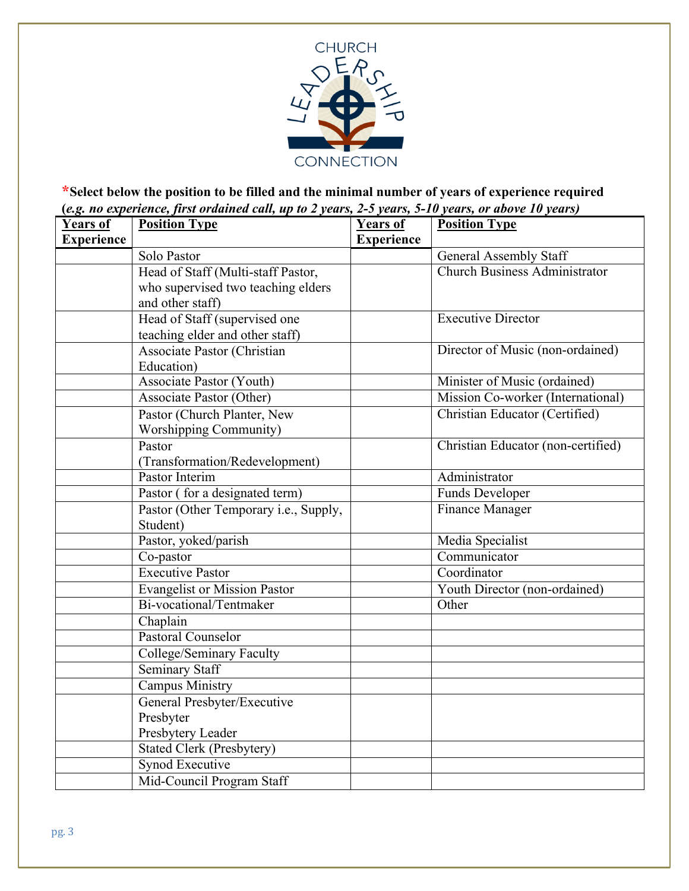

# **\*Select below the position to be filled and the minimal number of years of experience required (***e.g. no experience, first ordained call, up to 2 years, 2-5 years, 5-10 years, or above 10 years)*

| <b>Years of</b>   | $($ ing. $\ldots$ experience, $\ldots$<br>m<br><b>Position Type</b> | <b>Years of</b>   | <b>Position Type</b>                 |
|-------------------|---------------------------------------------------------------------|-------------------|--------------------------------------|
| <b>Experience</b> |                                                                     | <b>Experience</b> |                                      |
|                   | Solo Pastor                                                         |                   | <b>General Assembly Staff</b>        |
|                   | Head of Staff (Multi-staff Pastor,                                  |                   | <b>Church Business Administrator</b> |
|                   | who supervised two teaching elders                                  |                   |                                      |
|                   | and other staff)                                                    |                   |                                      |
|                   | Head of Staff (supervised one                                       |                   | <b>Executive Director</b>            |
|                   | teaching elder and other staff)                                     |                   |                                      |
|                   | Associate Pastor (Christian                                         |                   | Director of Music (non-ordained)     |
|                   | Education)                                                          |                   |                                      |
|                   | <b>Associate Pastor (Youth)</b>                                     |                   | Minister of Music (ordained)         |
|                   | Associate Pastor (Other)                                            |                   | Mission Co-worker (International)    |
|                   | Pastor (Church Planter, New                                         |                   | Christian Educator (Certified)       |
|                   | <b>Worshipping Community)</b>                                       |                   |                                      |
|                   | Pastor                                                              |                   | Christian Educator (non-certified)   |
|                   | (Transformation/Redevelopment)                                      |                   |                                      |
|                   | Pastor Interim                                                      |                   | Administrator                        |
|                   | Pastor (for a designated term)                                      |                   | <b>Funds Developer</b>               |
|                   | Pastor (Other Temporary i.e., Supply,                               |                   | Finance Manager                      |
|                   | Student)                                                            |                   |                                      |
|                   | Pastor, yoked/parish                                                |                   | Media Specialist                     |
|                   | Co-pastor                                                           |                   | Communicator                         |
|                   | <b>Executive Pastor</b>                                             |                   | Coordinator                          |
|                   | <b>Evangelist or Mission Pastor</b>                                 |                   | Youth Director (non-ordained)        |
|                   | Bi-vocational/Tentmaker                                             |                   | Other                                |
|                   | Chaplain                                                            |                   |                                      |
|                   | Pastoral Counselor                                                  |                   |                                      |
|                   | College/Seminary Faculty                                            |                   |                                      |
|                   | <b>Seminary Staff</b>                                               |                   |                                      |
|                   | <b>Campus Ministry</b>                                              |                   |                                      |
|                   | General Presbyter/Executive                                         |                   |                                      |
|                   | Presbyter                                                           |                   |                                      |
|                   | Presbytery Leader                                                   |                   |                                      |
|                   | <b>Stated Clerk (Presbytery)</b>                                    |                   |                                      |
|                   | <b>Synod Executive</b>                                              |                   |                                      |
|                   | Mid-Council Program Staff                                           |                   |                                      |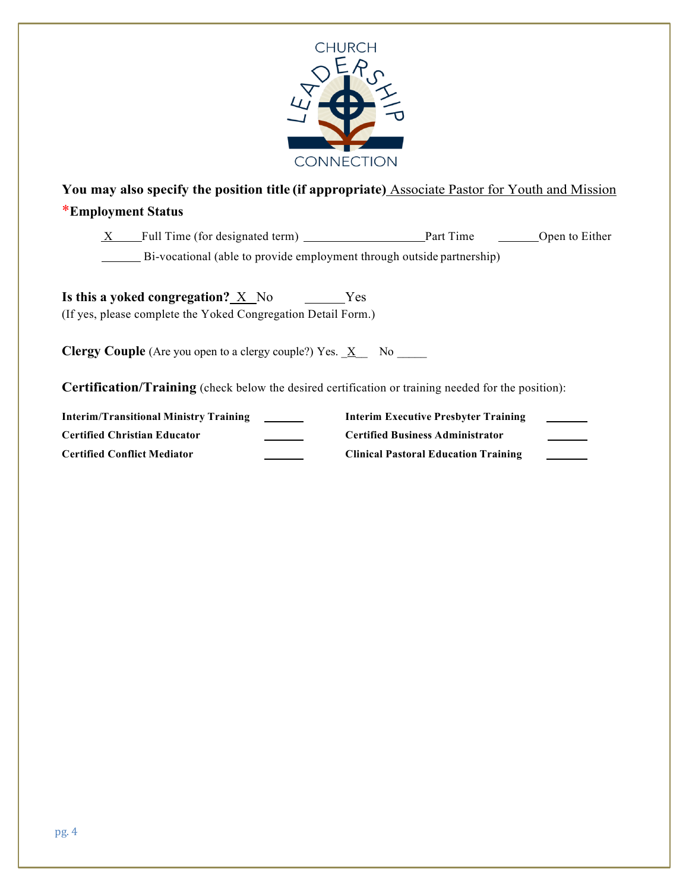

**You may also specify the position title (if appropriate)** Associate Pastor for Youth and Mission

# \***Employment Status**

| X | Full Time (for designated term)                                        | Part Time | Open to Either |
|---|------------------------------------------------------------------------|-----------|----------------|
|   | Bi-vocational (able to provide employment through outside partnership) |           |                |

**Is this a yoked congregation?** X No Yes (If yes, please complete the Yoked Congregation Detail Form.)

**Clergy Couple** (Are you open to a clergy couple?) Yes.  $X$  No \_\_\_\_\_

**Certification/Training** (check below the desired certification or training needed for the position):

| <b>Interim/Transitional Ministry Training</b> | Interim Executive Presbyter Training        |  |
|-----------------------------------------------|---------------------------------------------|--|
| <b>Certified Christian Educator</b>           | <b>Certified Business Administrator</b>     |  |
| <b>Certified Conflict Mediator</b>            | <b>Clinical Pastoral Education Training</b> |  |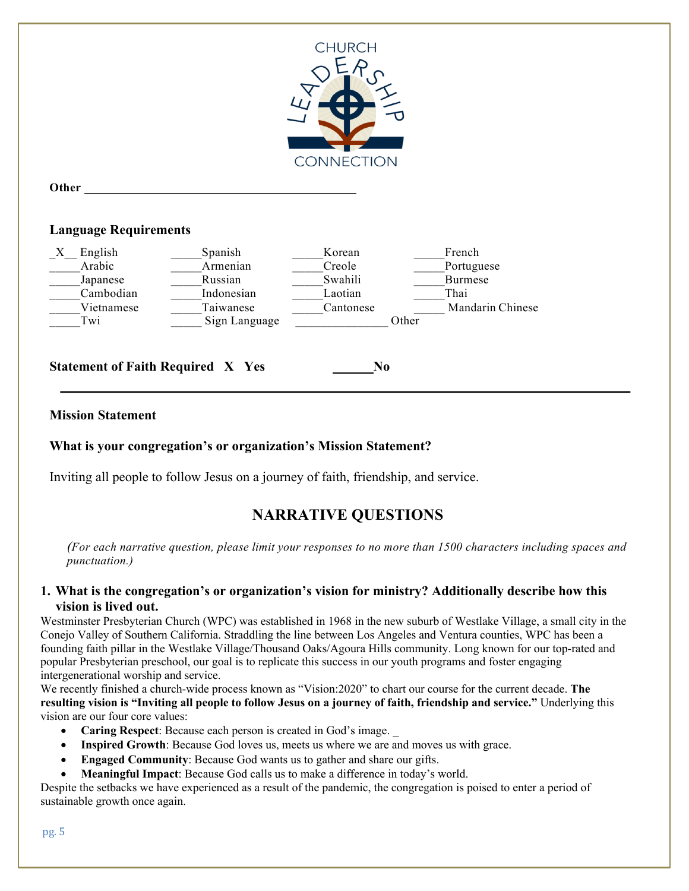

**Other**

## **Language Requirements**



**Statement of Faith Required X Yes No**

# **Mission Statement**

# **What is your congregation's or organization's Mission Statement?**

Inviting all people to follow Jesus on a journey of faith, friendship, and service.

# **NARRATIVE QUESTIONS**

*(For each narrative question, please limit your responses to no more than 1500 characters including spaces and punctuation.)*

#### **1. What is the congregation's or organization's vision for ministry? Additionally describe how this vision is lived out.**

Westminster Presbyterian Church (WPC) was established in 1968 in the new suburb of Westlake Village, a small city in the Conejo Valley of Southern California. Straddling the line between Los Angeles and Ventura counties, WPC has been a founding faith pillar in the Westlake Village/Thousand Oaks/Agoura Hills community. Long known for our top-rated and popular Presbyterian preschool, our goal is to replicate this success in our youth programs and foster engaging intergenerational worship and service.

We recently finished a church-wide process known as "Vision:2020" to chart our course for the current decade. **The resulting vision is "Inviting all people to follow Jesus on a journey of faith, friendship and service."** Underlying this vision are our four core values:

- **Caring Respect**: Because each person is created in God's image. \_
- **Inspired Growth**: Because God loves us, meets us where we are and moves us with grace.
- **Engaged Community**: Because God wants us to gather and share our gifts.
- **Meaningful Impact**: Because God calls us to make a difference in today's world.

Despite the setbacks we have experienced as a result of the pandemic, the congregation is poised to enter a period of sustainable growth once again.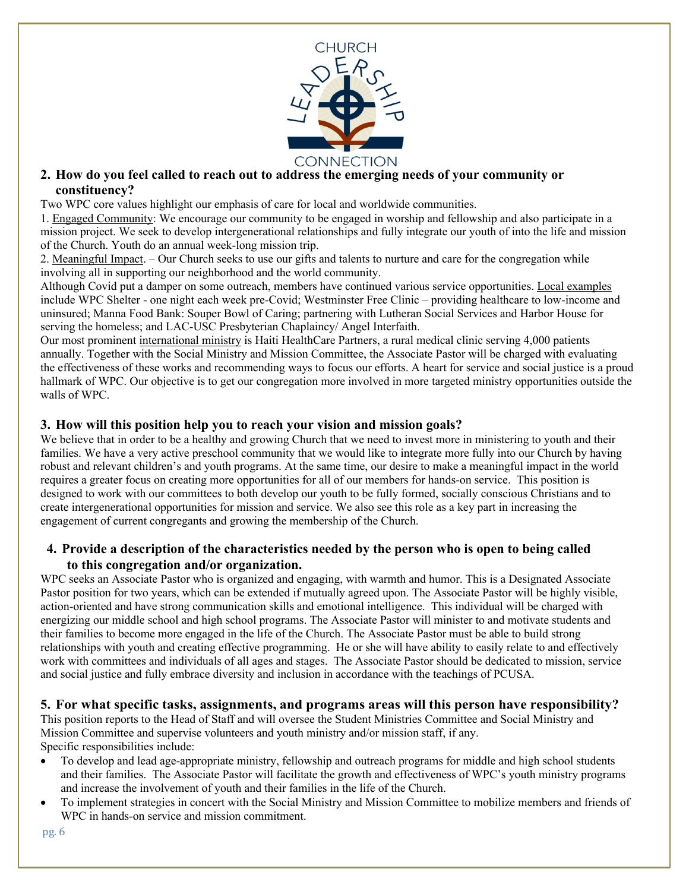

## **2. How do you feel called to reach out to address the emerging needs of your community or constituency?**

Two WPC core values highlight our emphasis of care for local and worldwide communities.

1. Engaged Community: We encourage our community to be engaged in worship and fellowship and also participate in a mission project. We seek to develop intergenerational relationships and fully integrate our youth of into the life and mission of the Church. Youth do an annual week-long mission trip.

2. Meaningful Impact. – Our Church seeks to use our gifts and talents to nurture and care for the congregation while involving all in supporting our neighborhood and the world community.

Although Covid put a damper on some outreach, members have continued various service opportunities. Local examples include WPC Shelter - one night each week pre-Covid; Westminster Free Clinic – providing healthcare to low-income and uninsured; Manna Food Bank: Souper Bowl of Caring; partnering with Lutheran Social Services and Harbor House for serving the homeless; and LAC-USC Presbyterian Chaplaincy/ Angel Interfaith.

Our most prominent international ministry is Haiti HealthCare Partners, a rural medical clinic serving 4,000 patients annually. Together with the Social Ministry and Mission Committee, the Associate Pastor will be charged with evaluating the effectiveness of these works and recommending ways to focus our efforts. A heart for service and social justice is a proud hallmark of WPC. Our objective is to get our congregation more involved in more targeted ministry opportunities outside the walls of WPC.

## **3. How will this position help you to reach your vision and mission goals?**

We believe that in order to be a healthy and growing Church that we need to invest more in ministering to youth and their families. We have a very active preschool community that we would like to integrate more fully into our Church by having robust and relevant children's and youth programs. At the same time, our desire to make a meaningful impact in the world requires a greater focus on creating more opportunities for all of our members for hands-on service. This position is designed to work with our committees to both develop our youth to be fully formed, socially conscious Christians and to create intergenerational opportunities for mission and service. We also see this role as a key part in increasing the engagement of current congregants and growing the membership of the Church.

## **4. Provide a description of the characteristics needed by the person who is open to being called to this congregation and/or organization.**

WPC seeks an Associate Pastor who is organized and engaging, with warmth and humor. This is a Designated Associate Pastor position for two years, which can be extended if mutually agreed upon. The Associate Pastor will be highly visible, action-oriented and have strong communication skills and emotional intelligence. This individual will be charged with energizing our middle school and high school programs. The Associate Pastor will minister to and motivate students and their families to become more engaged in the life of the Church. The Associate Pastor must be able to build strong relationships with youth and creating effective programming. He or she will have ability to easily relate to and effectively work with committees and individuals of all ages and stages. The Associate Pastor should be dedicated to mission, service and social justice and fully embrace diversity and inclusion in accordance with the teachings of PCUSA.

#### **5. For what specific tasks, assignments, and programs areas will this person have responsibility?**

This position reports to the Head of Staff and will oversee the Student Ministries Committee and Social Ministry and Mission Committee and supervise volunteers and youth ministry and/or mission staff, if any. Specific responsibilities include:

- To develop and lead age-appropriate ministry, fellowship and outreach programs for middle and high school students and their families. The Associate Pastor will facilitate the growth and effectiveness of WPC's youth ministry programs and increase the involvement of youth and their families in the life of the Church.
- To implement strategies in concert with the Social Ministry and Mission Committee to mobilize members and friends of WPC in hands-on service and mission commitment.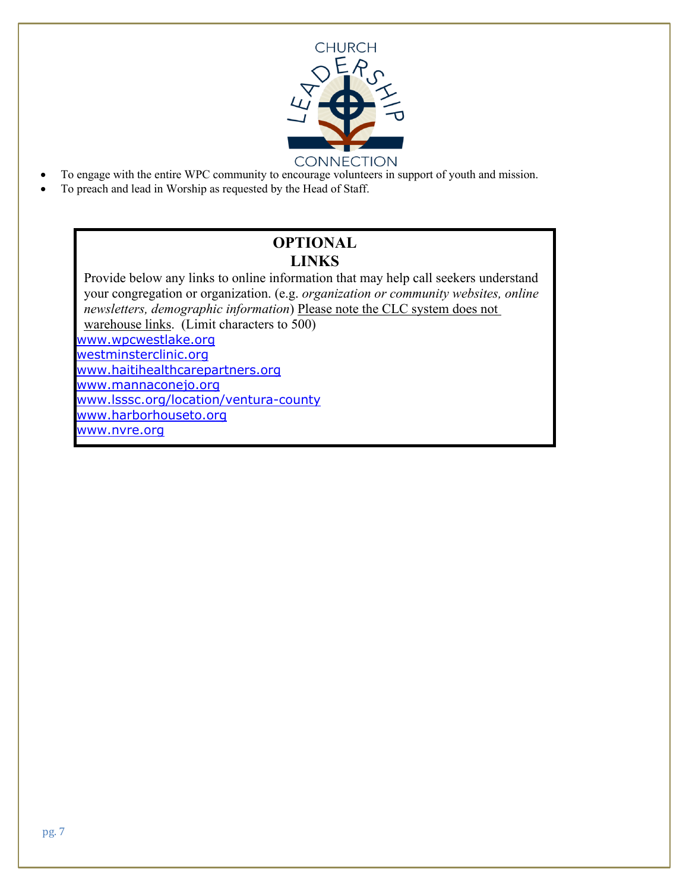

- To engage with the entire WPC community to encourage volunteers in support of youth and mission.
- To preach and lead in Worship as requested by the Head of Staff.

# **OPTIONAL LINKS**

Provide below any links to online information that may help call seekers understand your congregation or organization. (e.g. *organization or community websites, online newsletters, demographic information*) Please note the CLC system does not warehouse links. (Limit characters to 500) www.wpcwestlake.org westminsterclinic.org www.haitihealthcarepartners.org www.mannaconejo.org www.lsssc.org/location/ventura-county www.harborhouseto.org www.nvre.org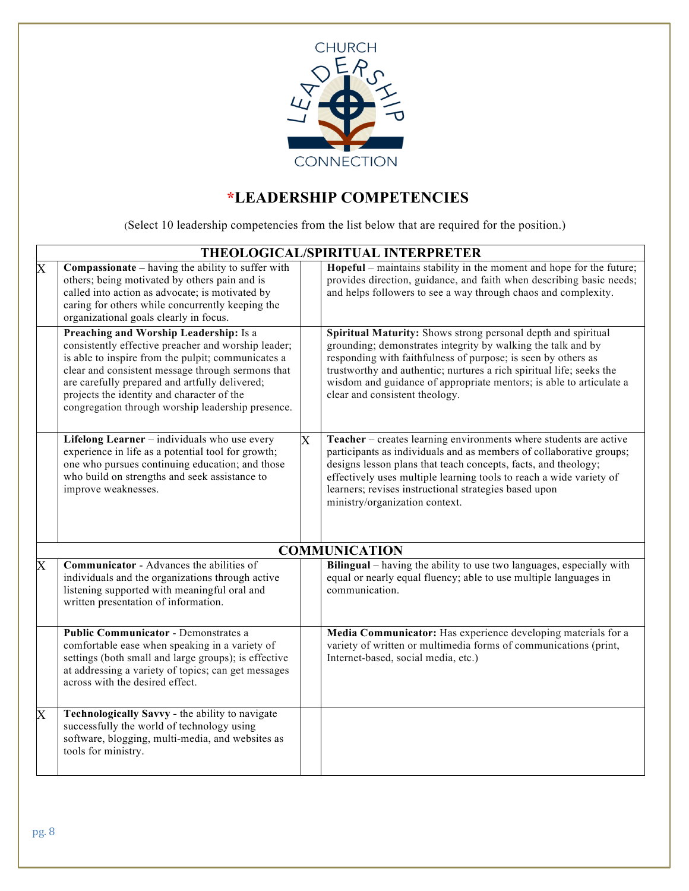

# **\*LEADERSHIP COMPETENCIES**

(Select 10 leadership competencies from the list below that are required for the position.)

|                       | THEOLOGICAL/SPIRITUAL INTERPRETER                                                                                                                                                                                                                                                                                                                             |             |                                                                                                                                                                                                                                                                                                                                                                                 |  |  |
|-----------------------|---------------------------------------------------------------------------------------------------------------------------------------------------------------------------------------------------------------------------------------------------------------------------------------------------------------------------------------------------------------|-------------|---------------------------------------------------------------------------------------------------------------------------------------------------------------------------------------------------------------------------------------------------------------------------------------------------------------------------------------------------------------------------------|--|--|
| $\overline{\text{X}}$ | Compassionate - having the ability to suffer with<br>others; being motivated by others pain and is<br>called into action as advocate; is motivated by<br>caring for others while concurrently keeping the<br>organizational goals clearly in focus.                                                                                                           |             | Hopeful – maintains stability in the moment and hope for the future;<br>provides direction, guidance, and faith when describing basic needs;<br>and helps followers to see a way through chaos and complexity.                                                                                                                                                                  |  |  |
|                       | Preaching and Worship Leadership: Is a<br>consistently effective preacher and worship leader;<br>is able to inspire from the pulpit; communicates a<br>clear and consistent message through sermons that<br>are carefully prepared and artfully delivered;<br>projects the identity and character of the<br>congregation through worship leadership presence. |             | Spiritual Maturity: Shows strong personal depth and spiritual<br>grounding; demonstrates integrity by walking the talk and by<br>responding with faithfulness of purpose; is seen by others as<br>trustworthy and authentic; nurtures a rich spiritual life; seeks the<br>wisdom and guidance of appropriate mentors; is able to articulate a<br>clear and consistent theology. |  |  |
|                       | Lifelong Learner - individuals who use every<br>experience in life as a potential tool for growth;<br>one who pursues continuing education; and those<br>who build on strengths and seek assistance to<br>improve weaknesses.                                                                                                                                 | $\mathbf X$ | Teacher - creates learning environments where students are active<br>participants as individuals and as members of collaborative groups;<br>designs lesson plans that teach concepts, facts, and theology;<br>effectively uses multiple learning tools to reach a wide variety of<br>learners; revises instructional strategies based upon<br>ministry/organization context.    |  |  |
|                       |                                                                                                                                                                                                                                                                                                                                                               |             | <b>COMMUNICATION</b>                                                                                                                                                                                                                                                                                                                                                            |  |  |
| $\overline{X}$        | <b>Communicator</b> - Advances the abilities of<br>individuals and the organizations through active<br>listening supported with meaningful oral and<br>written presentation of information.                                                                                                                                                                   |             | Bilingual – having the ability to use two languages, especially with<br>equal or nearly equal fluency; able to use multiple languages in<br>communication.                                                                                                                                                                                                                      |  |  |
|                       | <b>Public Communicator - Demonstrates a</b><br>comfortable ease when speaking in a variety of<br>settings (both small and large groups); is effective<br>at addressing a variety of topics; can get messages<br>across with the desired effect.                                                                                                               |             | Media Communicator: Has experience developing materials for a<br>variety of written or multimedia forms of communications (print,<br>Internet-based, social media, etc.)                                                                                                                                                                                                        |  |  |
| $\overline{X}$        | Technologically Savvy - the ability to navigate<br>successfully the world of technology using<br>software, blogging, multi-media, and websites as<br>tools for ministry.                                                                                                                                                                                      |             |                                                                                                                                                                                                                                                                                                                                                                                 |  |  |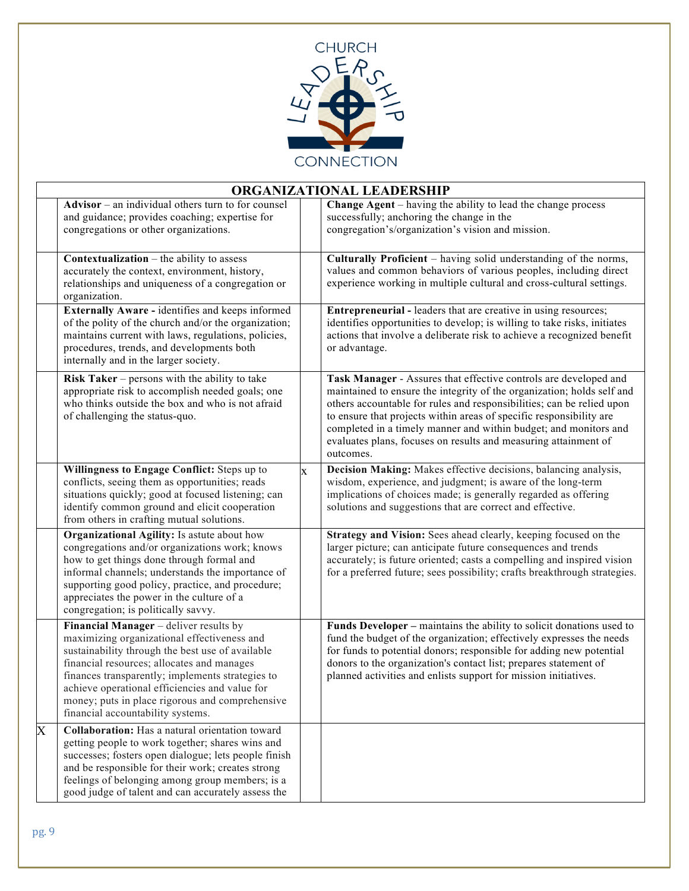

|                         | ORGANIZATIONAL LEADERSHIP                                                                                                                                                                                                                                                                                                                                                             |             |                                                                                                                                                                                                                                                                                                                                                                                                                                                |  |  |
|-------------------------|---------------------------------------------------------------------------------------------------------------------------------------------------------------------------------------------------------------------------------------------------------------------------------------------------------------------------------------------------------------------------------------|-------------|------------------------------------------------------------------------------------------------------------------------------------------------------------------------------------------------------------------------------------------------------------------------------------------------------------------------------------------------------------------------------------------------------------------------------------------------|--|--|
|                         | $\overline{\text{Advisor} - \text{an}}$ individual others turn to for counsel<br>and guidance; provides coaching; expertise for<br>congregations or other organizations.                                                                                                                                                                                                              |             | Change Agent – having the ability to lead the change process<br>successfully; anchoring the change in the<br>congregation's/organization's vision and mission.                                                                                                                                                                                                                                                                                 |  |  |
|                         | <b>Contextualization</b> – the ability to assess<br>accurately the context, environment, history,<br>relationships and uniqueness of a congregation or<br>organization.                                                                                                                                                                                                               |             | Culturally Proficient - having solid understanding of the norms,<br>values and common behaviors of various peoples, including direct<br>experience working in multiple cultural and cross-cultural settings.                                                                                                                                                                                                                                   |  |  |
|                         | Externally Aware - identifies and keeps informed<br>of the polity of the church and/or the organization;<br>maintains current with laws, regulations, policies,<br>procedures, trends, and developments both<br>internally and in the larger society.                                                                                                                                 |             | <b>Entrepreneurial - leaders that are creative in using resources;</b><br>identifies opportunities to develop; is willing to take risks, initiates<br>actions that involve a deliberate risk to achieve a recognized benefit<br>or advantage.                                                                                                                                                                                                  |  |  |
|                         | Risk Taker $-$ persons with the ability to take<br>appropriate risk to accomplish needed goals; one<br>who thinks outside the box and who is not afraid<br>of challenging the status-quo.                                                                                                                                                                                             |             | Task Manager - Assures that effective controls are developed and<br>maintained to ensure the integrity of the organization; holds self and<br>others accountable for rules and responsibilities; can be relied upon<br>to ensure that projects within areas of specific responsibility are<br>completed in a timely manner and within budget; and monitors and<br>evaluates plans, focuses on results and measuring attainment of<br>outcomes. |  |  |
|                         | Willingness to Engage Conflict: Steps up to<br>conflicts, seeing them as opportunities; reads<br>situations quickly; good at focused listening; can<br>identify common ground and elicit cooperation<br>from others in crafting mutual solutions.                                                                                                                                     | $\mathbf x$ | Decision Making: Makes effective decisions, balancing analysis,<br>wisdom, experience, and judgment; is aware of the long-term<br>implications of choices made; is generally regarded as offering<br>solutions and suggestions that are correct and effective.                                                                                                                                                                                 |  |  |
|                         | Organizational Agility: Is astute about how<br>congregations and/or organizations work; knows<br>how to get things done through formal and<br>informal channels; understands the importance of<br>supporting good policy, practice, and procedure;<br>appreciates the power in the culture of a<br>congregation; is politically savvy.                                                |             | Strategy and Vision: Sees ahead clearly, keeping focused on the<br>larger picture; can anticipate future consequences and trends<br>accurately; is future oriented; casts a compelling and inspired vision<br>for a preferred future; sees possibility; crafts breakthrough strategies.                                                                                                                                                        |  |  |
|                         | Financial Manager - deliver results by<br>maximizing organizational effectiveness and<br>sustainability through the best use of available<br>financial resources; allocates and manages<br>finances transparently; implements strategies to<br>achieve operational efficiencies and value for<br>money; puts in place rigorous and comprehensive<br>financial accountability systems. |             | Funds Developer - maintains the ability to solicit donations used to<br>fund the budget of the organization; effectively expresses the needs<br>for funds to potential donors; responsible for adding new potential<br>donors to the organization's contact list; prepares statement of<br>planned activities and enlists support for mission initiatives.                                                                                     |  |  |
| $\overline{\mathbf{X}}$ | Collaboration: Has a natural orientation toward<br>getting people to work together; shares wins and<br>successes; fosters open dialogue; lets people finish<br>and be responsible for their work; creates strong<br>feelings of belonging among group members; is a<br>good judge of talent and can accurately assess the                                                             |             |                                                                                                                                                                                                                                                                                                                                                                                                                                                |  |  |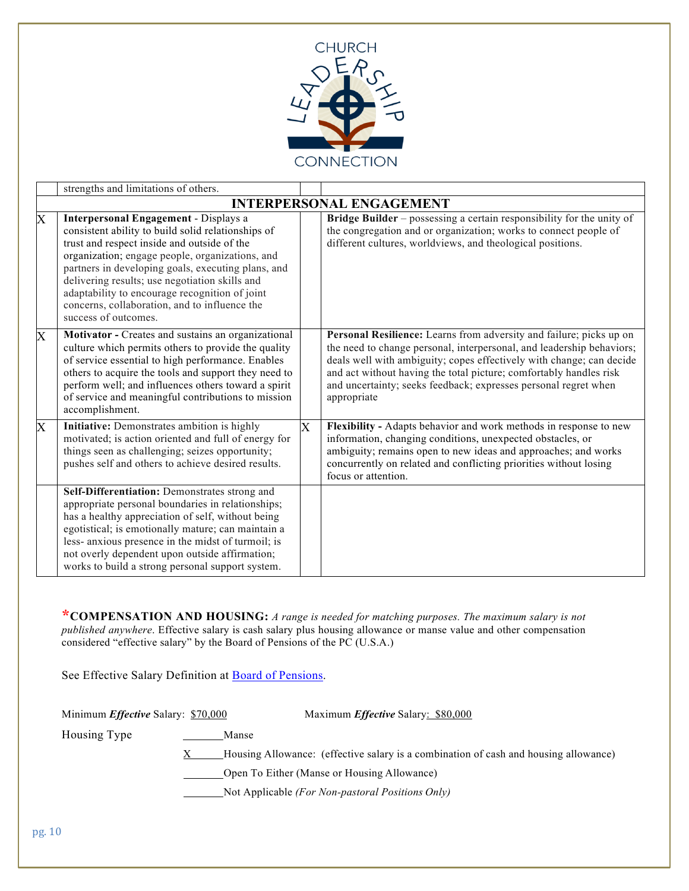

|   | strengths and limitations of others.                                                                                                                                                                                                                                                                                                                                                                                             |                         |                                                                                                                                                                                                                                                                                                                                                                              |  |  |
|---|----------------------------------------------------------------------------------------------------------------------------------------------------------------------------------------------------------------------------------------------------------------------------------------------------------------------------------------------------------------------------------------------------------------------------------|-------------------------|------------------------------------------------------------------------------------------------------------------------------------------------------------------------------------------------------------------------------------------------------------------------------------------------------------------------------------------------------------------------------|--|--|
|   | <b>INTERPERSONAL ENGAGEMENT</b>                                                                                                                                                                                                                                                                                                                                                                                                  |                         |                                                                                                                                                                                                                                                                                                                                                                              |  |  |
| X | Interpersonal Engagement - Displays a<br>consistent ability to build solid relationships of<br>trust and respect inside and outside of the<br>organization; engage people, organizations, and<br>partners in developing goals, executing plans, and<br>delivering results; use negotiation skills and<br>adaptability to encourage recognition of joint<br>concerns, collaboration, and to influence the<br>success of outcomes. |                         | Bridge Builder - possessing a certain responsibility for the unity of<br>the congregation and or organization; works to connect people of<br>different cultures, worldviews, and theological positions.                                                                                                                                                                      |  |  |
| X | Motivator - Creates and sustains an organizational<br>culture which permits others to provide the quality<br>of service essential to high performance. Enables<br>others to acquire the tools and support they need to<br>perform well; and influences others toward a spirit<br>of service and meaningful contributions to mission<br>accomplishment.                                                                           |                         | Personal Resilience: Learns from adversity and failure; picks up on<br>the need to change personal, interpersonal, and leadership behaviors;<br>deals well with ambiguity; copes effectively with change; can decide<br>and act without having the total picture; comfortably handles risk<br>and uncertainty; seeks feedback; expresses personal regret when<br>appropriate |  |  |
| X | Initiative: Demonstrates ambition is highly<br>motivated; is action oriented and full of energy for<br>things seen as challenging; seizes opportunity;<br>pushes self and others to achieve desired results.                                                                                                                                                                                                                     | $\overline{\mathrm{X}}$ | Flexibility - Adapts behavior and work methods in response to new<br>information, changing conditions, unexpected obstacles, or<br>ambiguity; remains open to new ideas and approaches; and works<br>concurrently on related and conflicting priorities without losing<br>focus or attention.                                                                                |  |  |
|   | Self-Differentiation: Demonstrates strong and<br>appropriate personal boundaries in relationships;<br>has a healthy appreciation of self, without being<br>egotistical; is emotionally mature; can maintain a<br>less- anxious presence in the midst of turmoil; is<br>not overly dependent upon outside affirmation;<br>works to build a strong personal support system.                                                        |                         |                                                                                                                                                                                                                                                                                                                                                                              |  |  |

**\*COMPENSATION AND HOUSING:** *A range is needed for matching purposes. The maximum salary is not published anywhere*. Effective salary is cash salary plus housing allowance or manse value and other compensation considered "effective salary" by the Board of Pensions of the PC (U.S.A.)

See Effective Salary Definition at **Board of Pensions**.

Minimum *Effective* Salary: \$70,000 Maximum *Effective* Salary: \$80,000

Housing Type Manse

 $X$  Housing Allowance: (effective salary is a combination of cash and housing allowance)

Open To Either (Manse or Housing Allowance)

Not Applicable *(For Non-pastoral Positions Only)*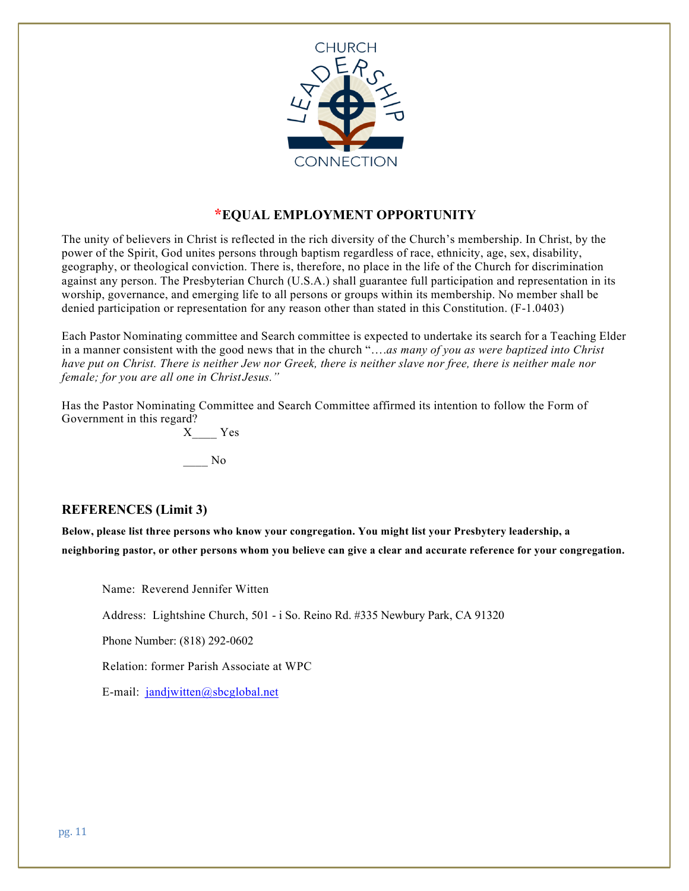

# **\*EQUAL EMPLOYMENT OPPORTUNITY**

The unity of believers in Christ is reflected in the rich diversity of the Church's membership. In Christ, by the power of the Spirit, God unites persons through baptism regardless of race, ethnicity, age, sex, disability, geography, or theological conviction. There is, therefore, no place in the life of the Church for discrimination against any person. The Presbyterian Church (U.S.A.) shall guarantee full participation and representation in its worship, governance, and emerging life to all persons or groups within its membership. No member shall be denied participation or representation for any reason other than stated in this Constitution. (F-1.0403)

Each Pastor Nominating committee and Search committee is expected to undertake its search for a Teaching Elder in a manner consistent with the good news that in the church "….*as many of you as were baptized into Christ have put on Christ. There is neither Jew nor Greek, there is neither slave nor free, there is neither male nor female; for you are all one in Christ Jesus."*

Has the Pastor Nominating Committee and Search Committee affirmed its intention to follow the Form of Government in this regard?

X\_\_\_\_ Yes \_\_\_\_ No

# **REFERENCES (Limit 3)**

**Below, please list three persons who know your congregation. You might list your Presbytery leadership, a neighboring pastor, or other persons whom you believe can give a clear and accurate reference for your congregation.**

Name: Reverend Jennifer Witten

Address: Lightshine Church, 501 - i So. Reino Rd. #335 Newbury Park, CA 91320

Phone Number: (818) 292-0602

Relation: former Parish Associate at WPC

E-mail: jandjwitten@sbcglobal.net